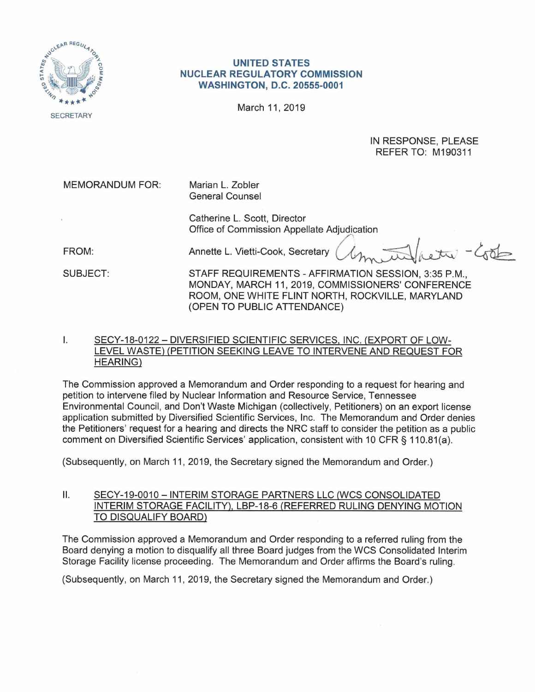

## **UNITED STATES NUCLEAR REGULATORY COMMISSION WASHINGTON, D.C. 20555-0001**

March 11, 2019

IN RESPONSE, PLEASE REFER TO: M190311

MEMORANDUM FOR: Marian L. Zobler General Counsel

> Catherine L. Scott, Director Office of Commission Appellate Adjudication<br>Annette L. Vietti-Cook, Secretary *<i>Annuallity* - 40

FROM:

SUBJECT:

STAFF REQUIREMENTS - AFFIRMATION SESSION, 3:35 P.M., MONDAY, MARCH 11, 2019, COMMISSIONERS' CONFERENCE ROOM, ONE WHITE FLINT NORTH, ROCKVILLE, MARYLAND (OPEN TO PUBLIC ATTENDANCE)

## I. SECY-18-0122 - DIVERSIFIED SCIENTIFIC SERVICES, INC. (EXPORT OF LOW-LEVEL WASTE) (PETITION SEEKING LEAVE TO INTERVENE AND REQUEST FOR HEARING)

The Commission approved a Memorandum and Order responding to a request for hearing and petition to intervene filed by Nuclear Information and Resource Service, Tennessee Environmental Council, and Don't Waste Michigan (collectively, Petitioners) on an export license application submitted by Diversified Scientific Services, Inc. The Memorandum and Order denies the Petitioners' request for a hearing and directs the NRC staff to consider the petition as a public comment on Diversified Scientific Services' application, consistent with 10 CFR § 110.81(a).

(Subsequently, on March 11, 2019, the Secretary signed the Memorandum and Order.)

## II. SECY-19-0010 - INTERIM STORAGE PARTNERS LLC (WCS CONSOLIDATED INTERIM STORAGE FACILITY), LBP-18-6 (REFERRED RULING DENYING MOTION TO DISQUALIFY BOARD)

The Commission approved a Memorandum and Order responding to a referred ruling from the Board denying a motion to disqualify all three Board judges from the WCS Consolidated Interim Storage Facility license proceeding. The Memorandum and Order affirms the Board's ruling.

(Subsequently, on March 11, 2019, the Secretary signed the Memorandum and Order.)

**SECRETARY**